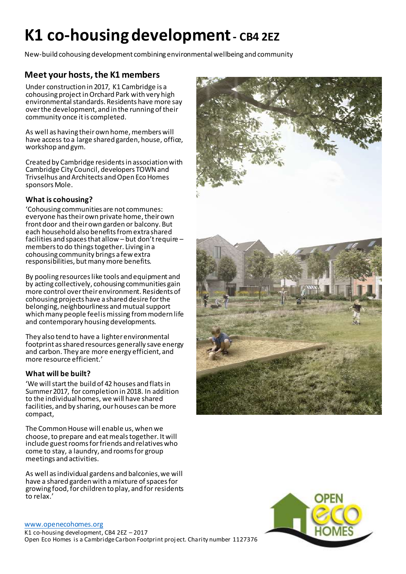# **K1 co-housing development- CB4 2EZ**

New-build cohousing development combining environmental wellbeing and community

## **Meet your hosts, the K1 members**

Under construction in 2017, K1 Cambridge is a cohousing projectin Orchard Park with very high environmental standards. Residents have more say over the development, and in the running of their community once it is completed.

As well as having their own home, members will have access to a large shared garden, house, office, workshop and gym.

Created by Cambridge residents in association with Cambridge City Council, developers TOWN and Trivselhus and Architects and Open Eco Homes sponsors Mole.

### **What is cohousing?**

'Cohousing communities are not communes: everyone has their own private home, their own front door and their own garden or balcony. But each household also benefits from extra shared facilities and spaces that allow – but don't require – members to do things together. Living in a cohousing community brings a few extra responsibilities, but many more benefits.

By pooling resources like tools and equipment and by acting collectively, cohousing communities gain more control over their environment. Residents of cohousing projects have a shared desire for the belonging, neighbourliness and mutual support which many people feel is missing from modern life and contemporary housing developments.

They also tend to have a lighter environmental footprint as shared resources generally save energy and carbon. They are more energy efficient, and more resource efficient.'

### **What will be built?**

'We will start the build of 42 houses and flats in Summer 2017, for completion in 2018. In addition to the individual homes, we will have shared facilities, and by sharing, our houses can be more compact,

The Common House will enable us, when we choose, to prepare and eat meals together. It will include guest rooms for friends and relatives who come to stay, a laundry, and rooms for group meetings and activities.

As well as individual gardens and balconies, we will have a shared garden with a mixture of spaces for growing food, for children to play, and for residents to relax.'

#### [www.openecohomes.org](http://www.openecohomes.org/)

K1 co-housing development, CB4 2EZ – 2017 Open Eco Homes is a Cambridge Carbon Footprint proj ect. Charity number 1127376